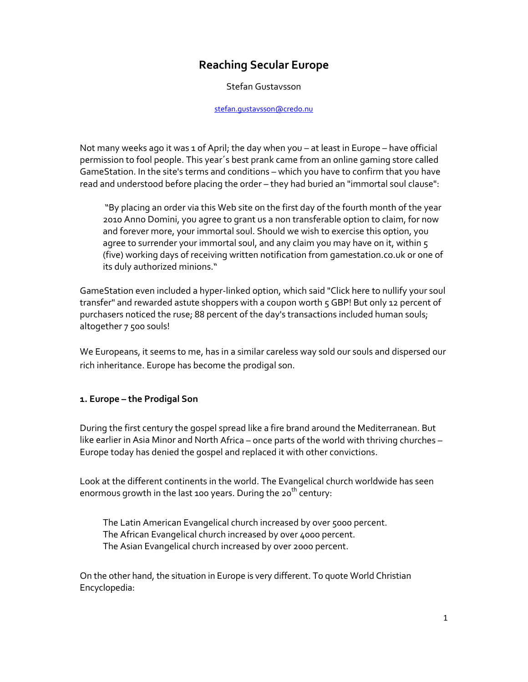# **Reaching Secular Europe**

Stefan Gustavsson

#### stefan.gustavsson@credo.nu

Not many weeks ago it was 1 of April; the day when you – at least in Europe – have official permission to fool people. This year´s best prank came from an online gaming store called GameStation. In the site's terms and conditions – which you have to confirm that you have read and understood before placing the order – they had buried an "immortal soul clause":

"By placing an order via this Web site on the first day of the fourth month of the year 2010 Anno Domini, you agree to grant us a non transferable option to claim, for now and forever more, your immortal soul. Should we wish to exercise this option, you agree to surrender your immortal soul, and any claim you may have on it, within 5 (five) working days of receiving written notification from gamestation.co.uk or one of its duly authorized minions."

GameStation even included a hyper‐linked option, which said "Click here to nullify your soul transfer" and rewarded astute shoppers with a coupon worth 5 GBP! But only 12 percent of purchasers noticed the ruse; 88 percent of the day's transactions included human souls; altogether 7 500 souls!

We Europeans, it seems to me, has in a similar careless way sold our souls and dispersed our rich inheritance. Europe has become the prodigal son.

#### **1. Europe – the Prodigal Son**

During the first century the gospel spread like a fire brand around the Mediterranean. But like earlier in Asia Minor and North Africa – once parts of the world with thriving churches – Europe today has denied the gospel and replaced it with other convictions.

Look at the different continents in the world. The Evangelical church worldwide has seen enormous growth in the last 100 years. During the 20<sup>th</sup> century:

The Latin American Evangelical church increased by over 5000 percent. The African Evangelical church increased by over 4000 percent. The Asian Evangelical church increased by over 2000 percent.

On the other hand, the situation in Europe is very different. To quote World Christian Encyclopedia: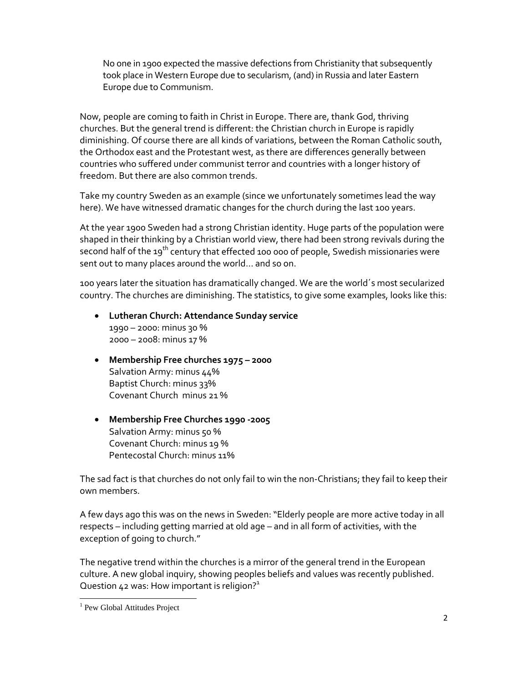No one in 1900 expected the massive defections from Christianity that subsequently took place in Western Europe due to secularism, (and) in Russia and later Eastern Europe due to Communism.

Now, people are coming to faith in Christ in Europe. There are, thank God, thriving churches. But the general trend is different: the Christian church in Europe is rapidly diminishing. Of course there are all kinds of variations, between the Roman Catholic south, the Orthodox east and the Protestant west, as there are differences generally between countries who suffered under communist terror and countries with a longer history of freedom. But there are also common trends.

Take my country Sweden as an example (since we unfortunately sometimes lead the way here). We have witnessed dramatic changes for the church during the last 100 years.

At the year 1900 Sweden had a strong Christian identity. Huge parts of the population were shaped in their thinking by a Christian world view, there had been strong revivals during the second half of the 19<sup>th</sup> century that effected 100 000 of people, Swedish missionaries were sent out to many places around the world… and so on.

100 years later the situation has dramatically changed. We are the world´s most secularized country. The churches are diminishing. The statistics, to give some examples, looks like this:

- **Lutheran Church: Attendance Sunday service** 1990 – 2000: minus 30 % 2000 – 2008: minus 17 %
- **Membership Free churches 1975 – 2000** Salvation Army: minus 44% Baptist Church: minus 33% Covenant Church minus 21 %
- **Membership Free Churches 1990 ‐2005** Salvation Army: minus 50 % Covenant Church: minus 19 % Pentecostal Church: minus 11%

The sad fact is that churches do not only fail to win the non‐Christians; they fail to keep their own members.

A few days ago this was on the news in Sweden:"Elderly people are more active today in all respects – including getting married at old age – and in all form of activities, with the exception of going to church."

The negative trend within the churches is a mirror of the general trend in the European culture. A new global inquiry, showing peoples beliefs and values was recently published. Question 42 was: How important is religion? $1$ 

 <sup>1</sup> Pew Global Attitudes Project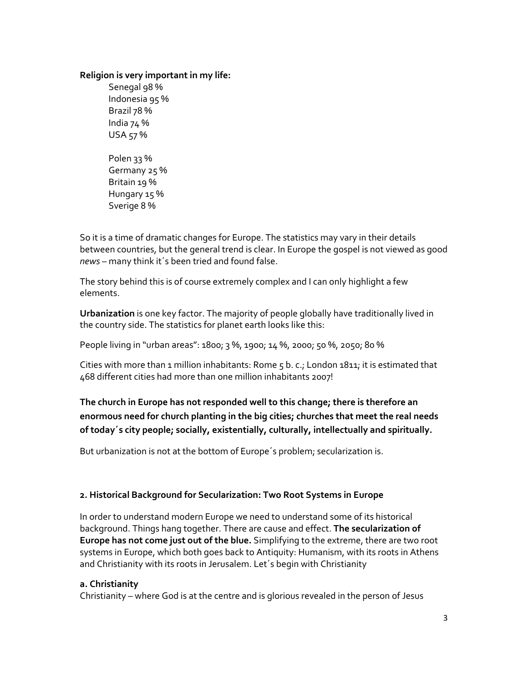#### **Religion is very important in my life:**

Senegal 98 % Indonesia 95 % Brazil 78 % India 74 % USA 57 % Polen 33 % Germany 25 % Britain 19 % Hungary 15 % Sverige 8 %

So it is a time of dramatic changes for Europe. The statistics may vary in their details between countries, but the general trend is clear. In Europe the gospel is not viewed as good *news* – many think it´s been tried and found false.

The story behind this is of course extremely complex and I can only highlight a few elements.

**Urbanization** is one key factor. The majority of people globally have traditionally lived in the country side. The statistics for planet earth looks like this:

People living in "urban areas": 1800; 3 %, 1900; 14 %, 2000; 50 %, 2050; 80 %

Cities with more than 1 million inhabitants: Rome 5 b. c.; London 1811; it is estimated that 468 different cities had more than one million inhabitants 2007!

# **The church in Europe has not responded well to this change; there is therefore an enormous need for church planting in the big cities; churches that meet the real needs of today´s city people; socially, existentially, culturally, intellectually and spiritually.**

But urbanization is not at the bottom of Europe´s problem; secularization is.

## **2. Historical Background for Secularization: Two Root Systems in Europe**

In order to understand modern Europe we need to understand some of its historical background. Things hang together. There are cause and effect. **The secularization of Europe has not come just out of the blue.** Simplifying to the extreme, there are two root systems in Europe, which both goes back to Antiquity: Humanism, with its roots in Athens and Christianity with its roots in Jerusalem. Let´s begin with Christianity

#### **a. Christianity**

Christianity – where God is at the centre and is glorious revealed in the person of Jesus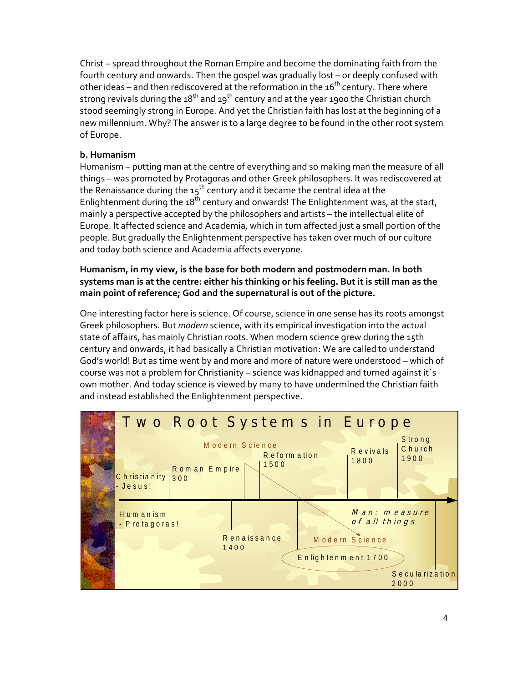Christ – spread throughout the Roman Empire and become the dominating faith from the fourth century and onwards. Then the gospel was gradually lost – or deeply confused with other ideas – and then rediscovered at the reformation in the  $16^{th}$  century. There where strong revivals during the  $18<sup>th</sup>$  and  $19<sup>th</sup>$  century and at the year 1900 the Christian church stood seemingly strong in Europe. And yet the Christian faith has lost at the beginning of a new millennium. Why? The answer is to a large degree to be found in the other root system of Europe.

## **b. Humanism**

Humanism – putting man at the centre of everything and so making man the measure of all things – was promoted by Protagoras and other Greek philosophers. It was rediscovered at the Renaissance during the  $15<sup>th</sup>$  century and it became the central idea at the Enlightenment during the  $18<sup>th</sup>$  century and onwards! The Enlightenment was, at the start, mainly a perspective accepted by the philosophers and artists – the intellectual elite of Europe. It affected science and Academia, which in turn affected just a small portion of the people. But gradually the Enlightenment perspective has taken over much of our culture and today both science and Academia affects everyone.

### **Humanism, in my view, is the base for both modern and postmodern man. In both** systems man is at the centre: either his thinking or his feeling. But it is still man as the **main point of reference; God and the supernatural is out of the picture.**

One interesting factor here is science. Of course, science in one sense has its roots amongst Greek philosophers. But *modern* science, with its empirical investigation into the actual state of affairs, has mainly Christian roots. When modern science grew during the 15th century and onwards, it had basically a Christian motivation: We are called to understand God's world! But as time went by and more and more of nature were understood – which of course was not a problem for Christianity – science was kidnapped and turned against it´s own mother. And today science is viewed by many to have undermined the Christian faith and instead established the Enlightenment perspective.

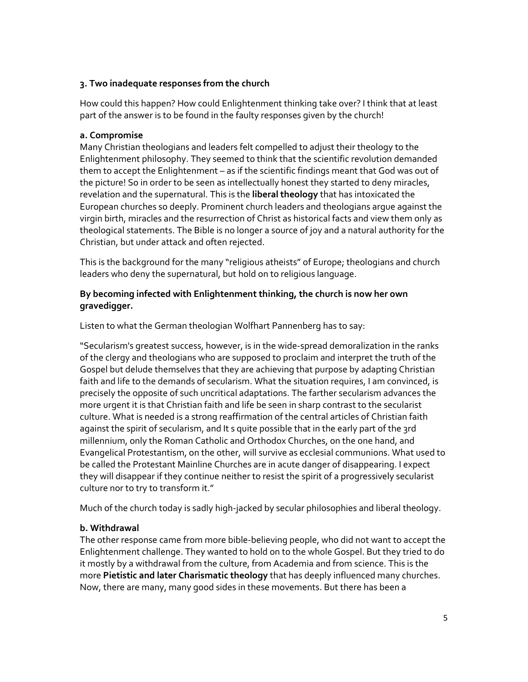### **3. Two inadequate responses from the church**

How could this happen? How could Enlightenment thinking take over? I think that at least part of the answer is to be found in the faulty responses given by the church!

#### **a. Compromise**

Many Christian theologians and leaders felt compelled to adjust their theology to the Enlightenment philosophy. They seemed to think that the scientific revolution demanded them to accept the Enlightenment – as if the scientific findings meant that God was out of the picture! So in order to be seen as intellectually honest they started to deny miracles, revelation and the supernatural. This is the **liberal theology** that has intoxicated the European churches so deeply. Prominent church leaders and theologians argue against the virgin birth, miracles and the resurrection of Christ as historical facts and view them only as theological statements. The Bible is no longer a source of joy and a natural authority for the Christian, but under attack and often rejected.

This is the background for the many "religious atheists" of Europe; theologians and church leaders who deny the supernatural, but hold on to religious language.

#### **By becoming infected with Enlightenment thinking, the church is now her own gravedigger.**

Listen to what the German theologian Wolfhart Pannenberg has to say:

"Secularism's greatest success, however, is in the wide‐spread demoralization in the ranks of the clergy and theologians who are supposed to proclaim and interpret the truth of the Gospel but delude themselves that they are achieving that purpose by adapting Christian faith and life to the demands of secularism. What the situation requires, I am convinced, is precisely the opposite of such uncritical adaptations. The farther secularism advances the more urgent it is that Christian faith and life be seen in sharp contrast to the secularist culture. What is needed is a strong reaffirmation of the central articles of Christian faith against the spirit of secularism, and It s quite possible that in the early part of the 3rd millennium, only the Roman Catholic and Orthodox Churches, on the one hand, and Evangelical Protestantism, on the other, will survive as ecclesial communions. What used to be called the Protestant Mainline Churches are in acute danger of disappearing. I expect they will disappear if they continue neither to resist the spirit of a progressively secularist culture nor to try to transform it."

Much of the church today is sadly high‐jacked by secular philosophies and liberal theology.

#### **b. Withdrawal**

The other response came from more bible‐believing people, who did not want to accept the Enlightenment challenge. They wanted to hold on to the whole Gospel. But they tried to do it mostly by a withdrawal from the culture, from Academia and from science. This is the more **Pietistic and later Charismatic theology** that has deeply influenced many churches. Now, there are many, many good sides in these movements. But there has been a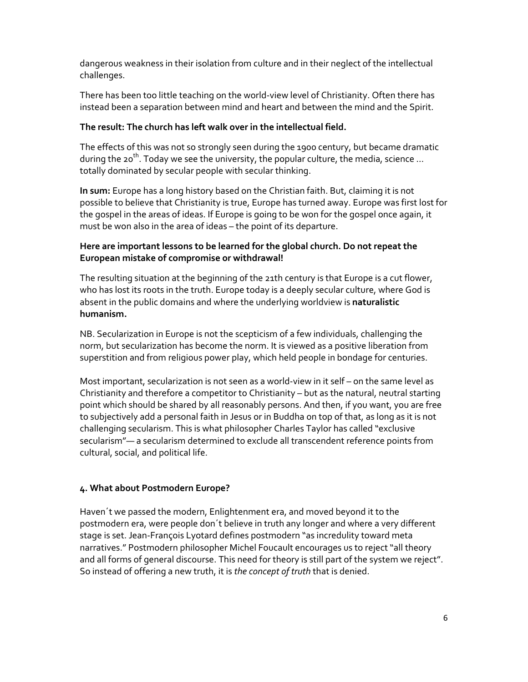dangerous weakness in their isolation from culture and in their neglect of the intellectual challenges.

There has been too little teaching on the world-view level of Christianity. Often there has instead been a separation between mind and heart and between the mind and the Spirit.

### **The result: The church has left walk over in the intellectual field.**

The effects of this was not so strongly seen during the 1900 century, but became dramatic during the 20<sup>th</sup>. Today we see the university, the popular culture, the media, science ... totally dominated by secular people with secular thinking.

**In sum:** Europe has a long history based on the Christian faith. But, claiming it is not possible to believe that Christianity is true, Europe has turned away. Europe was first lost for the gospel in the areas of ideas. If Europe is going to be won for the gospel once again, it must be won also in the area of ideas – the point of its departure.

### **Here are important lessons to be learned for the global church. Do not repeat the European mistake of compromise or withdrawal!**

The resulting situation at the beginning of the 21th century is that Europe is a cut flower, who has lost its roots in the truth. Europe today is a deeply secular culture, where God is absent in the public domains and where the underlying worldview is **naturalistic humanism.**

NB. Secularization in Europe is not the scepticism of a few individuals, challenging the norm, but secularization has become the norm. It is viewed as a positive liberation from superstition and from religious power play, which held people in bondage for centuries.

Most important, secularization is not seen as a world‐view in it self – on the same level as Christianity and therefore a competitor to Christianity – but as the natural, neutral starting point which should be shared by all reasonably persons. And then, if you want, you are free to subjectively add a personal faith in Jesus or in Buddha on top of that, as long as it is not challenging secularism. This is what philosopher Charles Taylor has called "exclusive secularism"— a secularism determined to exclude all transcendent reference points from cultural, social, and political life.

## **4. What about Postmodern Europe?**

Haven´t we passed the modern, Enlightenment era, and moved beyond it to the postmodern era, were people don´t believe in truth any longer and where a very different stage is set. Jean‐François Lyotard defines postmodern "as incredulity toward meta narratives." Postmodern philosopher Michel Foucault encourages us to reject"all theory and all forms of general discourse. This need for theory is still part of the system we reject". So instead of offering a new truth, it is *the concept of truth* that is denied.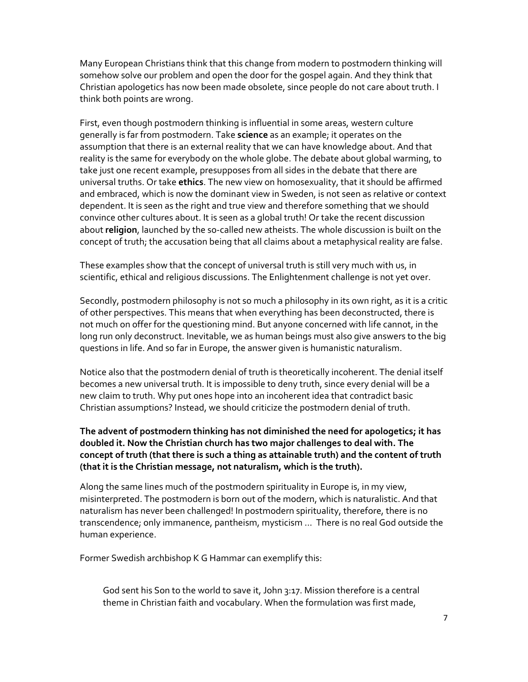Many European Christians think that this change from modern to postmodern thinking will somehow solve our problem and open the door for the gospel again. And they think that Christian apologetics has now been made obsolete, since people do not care about truth. I think both points are wrong.

First, even though postmodern thinking is influential in some areas, western culture generally is far from postmodern. Take **science** as an example; it operates on the assumption that there is an external reality that we can have knowledge about. And that reality is the same for everybody on the whole globe. The debate about global warming, to take just one recent example, presupposes from all sides in the debate that there are universal truths. Or take **ethics**. The new view on homosexuality, that it should be affirmed and embraced, which is now the dominant view in Sweden, is not seen as relative or context dependent. It is seen as the right and true view and therefore something that we should convince other cultures about. It is seen as a global truth! Or take the recent discussion about **religion**, launched by the so‐called new atheists. The whole discussion is built on the concept of truth; the accusation being that all claims about a metaphysical reality are false.

These examples show that the concept of universal truth is still very much with us, in scientific, ethical and religious discussions. The Enlightenment challenge is not yet over.

Secondly, postmodern philosophy is not so much a philosophy in its own right, as it is a critic of other perspectives. This means that when everything has been deconstructed, there is not much on offer for the questioning mind. But anyone concerned with life cannot, in the long run only deconstruct. Inevitable, we as human beings must also give answers to the big questions in life. And so far in Europe, the answer given is humanistic naturalism.

Notice also that the postmodern denial of truth is theoretically incoherent. The denial itself becomes a new universal truth. It is impossible to deny truth, since every denial will be a new claim to truth. Why put ones hope into an incoherent idea that contradict basic Christian assumptions? Instead, we should criticize the postmodern denial of truth.

### **The advent of postmodern thinking has not diminished the need for apologetics; it has doubled it. Now the Christian church has two major challenges to deal with. The concept of truth (that there is such a thing as attainable truth) and the content of truth (that it is the Christian message, not naturalism, which is the truth).**

Along the same lines much of the postmodern spirituality in Europe is, in my view, misinterpreted. The postmodern is born out of the modern, which is naturalistic. And that naturalism has never been challenged! In postmodern spirituality, therefore, there is no transcendence; only immanence, pantheism, mysticism ... There is no real God outside the human experience.

Former Swedish archbishop K G Hammar can exemplify this:

God sent his Son to the world to save it, John 3:17. Mission therefore is a central theme in Christian faith and vocabulary. When the formulation was first made,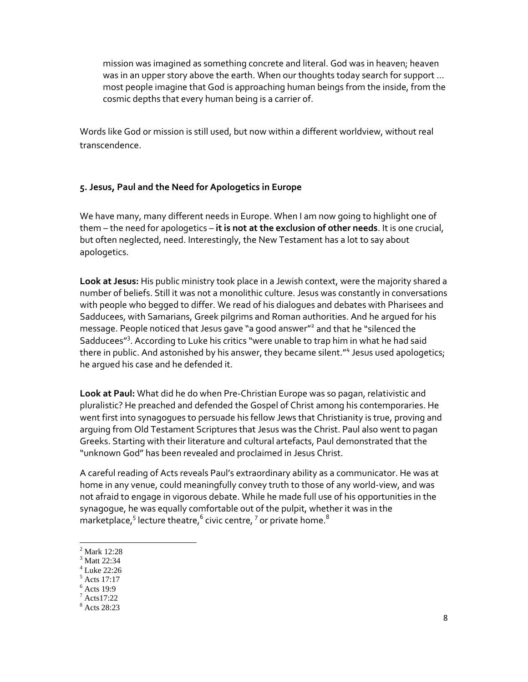mission was imagined as something concrete and literal. God was in heaven; heaven was in an upper story above the earth. When our thoughts today search for support … most people imagine that God is approaching human beings from the inside, from the cosmic depths that every human being is a carrier of.

Words like God or mission is still used, but now within a different worldview, without real transcendence.

#### **5. Jesus, Paul and the Need for Apologetics in Europe**

We have many, many different needs in Europe. When I am now going to highlight one of them – the need for apologetics – **it is not at the exclusion of other needs**. It is one crucial, but often neglected, need. Interestingly, the New Testament has a lot to say about apologetics.

**Look at Jesus:** His public ministry took place in a Jewish context, were the majority shared a number of beliefs. Still it was not a monolithic culture. Jesus was constantly in conversations with people who begged to differ. We read of his dialogues and debates with Pharisees and Sadducees, with Samarians, Greek pilgrims and Roman authorities. And he argued for his message. People noticed that Jesus gave "a good answer"2 and that he "silenced the Sadducees"<sup>3</sup>. According to Luke his critics "were unable to trap him in what he had said there in public. And astonished by his answer, they became silent."<sup>4</sup> Jesus used apologetics; he argued his case and he defended it.

**Look at Paul:** What did he do when Pre‐Christian Europe was so pagan, relativistic and pluralistic? He preached and defended the Gospel of Christ among his contemporaries. He went first into synagogues to persuade his fellow Jews that Christianity is true, proving and arguing from Old Testament Scriptures that Jesus was the Christ. Paul also went to pagan Greeks. Starting with their literature and cultural artefacts, Paul demonstrated that the "unknown God" has been revealed and proclaimed in Jesus Christ.

A careful reading of Acts reveals Paul's extraordinary ability as a communicator. He was at home in any venue, could meaningfully convey truth to those of any world‐view, and was not afraid to engage in vigorous debate. While he made full use of his opportunities in the synagogue, he was equally comfortable out of the pulpit, whether it was in the marketplace,<sup>5</sup> lecture theatre, $^6$  civic centre,  $^7$  or private home. $^8$ 

 2 Mark 12:28

<sup>&</sup>lt;sup>3</sup> Matt 22:34

<sup>4</sup> Luke 22:26

<sup>5</sup> Acts 17:17

<sup>6</sup> Acts 19:9

 $7$  Acts 17:22

<sup>8</sup> Acts 28:23